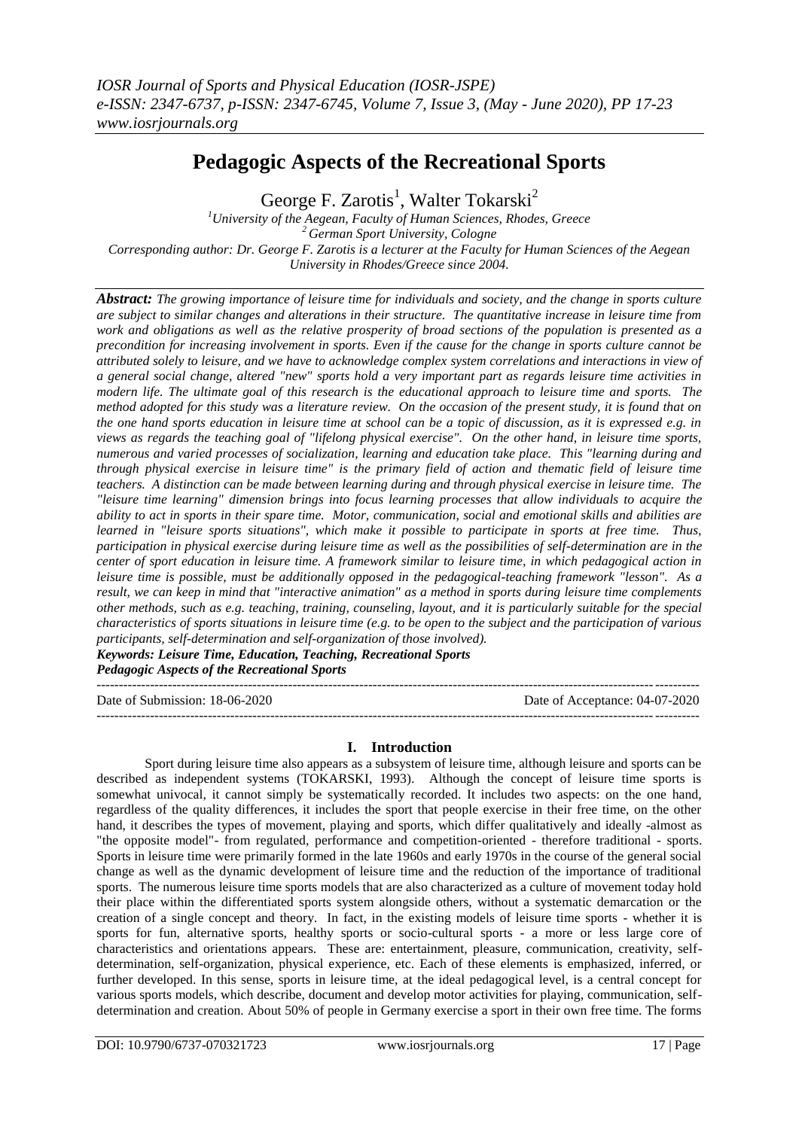# **Pedagogic Aspects of the Recreational Sports**

George F. Zarotis<sup>1</sup>, Walter Tokarski<sup>2</sup>

*<sup>1</sup>University of the Aegean, Faculty of Human Sciences, Rhodes, Greece <sup>2</sup>German Sport University, Cologne Corresponding author: Dr. George F. Zarotis is a lecturer at the Faculty for Human Sciences of the Aegean University in Rhodes/Greece since 2004.*

*Abstract: The growing importance of leisure time for individuals and society, and the change in sports culture are subject to similar changes and alterations in their structure. The quantitative increase in leisure time from work and obligations as well as the relative prosperity of broad sections of the population is presented as a precondition for increasing involvement in sports. Even if the cause for the change in sports culture cannot be attributed solely to leisure, and we have to acknowledge complex system correlations and interactions in view of a general social change, altered "new" sports hold a very important part as regards leisure time activities in modern life. The ultimate goal of this research is the educational approach to leisure time and sports. The method adopted for this study was a literature review. On the occasion of the present study, it is found that on the one hand sports education in leisure time at school can be a topic of discussion, as it is expressed e.g. in views as regards the teaching goal of "lifelong physical exercise". On the other hand, in leisure time sports, numerous and varied processes of socialization, learning and education take place. This "learning during and through physical exercise in leisure time" is the primary field of action and thematic field of leisure time teachers. A distinction can be made between learning during and through physical exercise in leisure time. The "leisure time learning" dimension brings into focus learning processes that allow individuals to acquire the ability to act in sports in their spare time. Motor, communication, social and emotional skills and abilities are learned in "leisure sports situations", which make it possible to participate in sports at free time. Thus, participation in physical exercise during leisure time as well as the possibilities of self-determination are in the center of sport education in leisure time. A framework similar to leisure time, in which pedagogical action in leisure time is possible, must be additionally opposed in the pedagogical-teaching framework "lesson". As a result, we can keep in mind that "interactive animation" as a method in sports during leisure time complements other methods, such as e.g. teaching, training, counseling, layout, and it is particularly suitable for the special characteristics of sports situations in leisure time (e.g. to be open to the subject and the participation of various participants, self-determination and self-organization of those involved). Keywords: Leisure Time, Education, Teaching, Recreational Sports*

*Pedagogic Aspects of the Recreational Sports*

--------------------------------------------------------------------------------------------------------------------------------------- Date of Submission: 18-06-2020 Date of Acceptance: 04-07-2020

---------------------------------------------------------------------------------------------------------------------------------------

## **I. Introduction**

Sport during leisure time also appears as a subsystem of leisure time, although leisure and sports can be described as independent systems (TOKARSKI, 1993). Although the concept of leisure time sports is somewhat univocal, it cannot simply be systematically recorded. It includes two aspects: on the one hand, regardless of the quality differences, it includes the sport that people exercise in their free time, on the other hand, it describes the types of movement, playing and sports, which differ qualitatively and ideally -almost as "the opposite model"- from regulated, performance and competition-oriented - therefore traditional - sports. Sports in leisure time were primarily formed in the late 1960s and early 1970s in the course of the general social change as well as the dynamic development of leisure time and the reduction of the importance of traditional sports. The numerous leisure time sports models that are also characterized as a culture of movement today hold their place within the differentiated sports system alongside others, without a systematic demarcation or the creation of a single concept and theory. In fact, in the existing models of leisure time sports - whether it is sports for fun, alternative sports, healthy sports or socio-cultural sports - a more or less large core of characteristics and orientations appears. These are: entertainment, pleasure, communication, creativity, selfdetermination, self-organization, physical experience, etc. Each of these elements is emphasized, inferred, or further developed. In this sense, sports in leisure time, at the ideal pedagogical level, is a central concept for various sports models, which describe, document and develop motor activities for playing, communication, selfdetermination and creation. About 50% of people in Germany exercise a sport in their own free time. The forms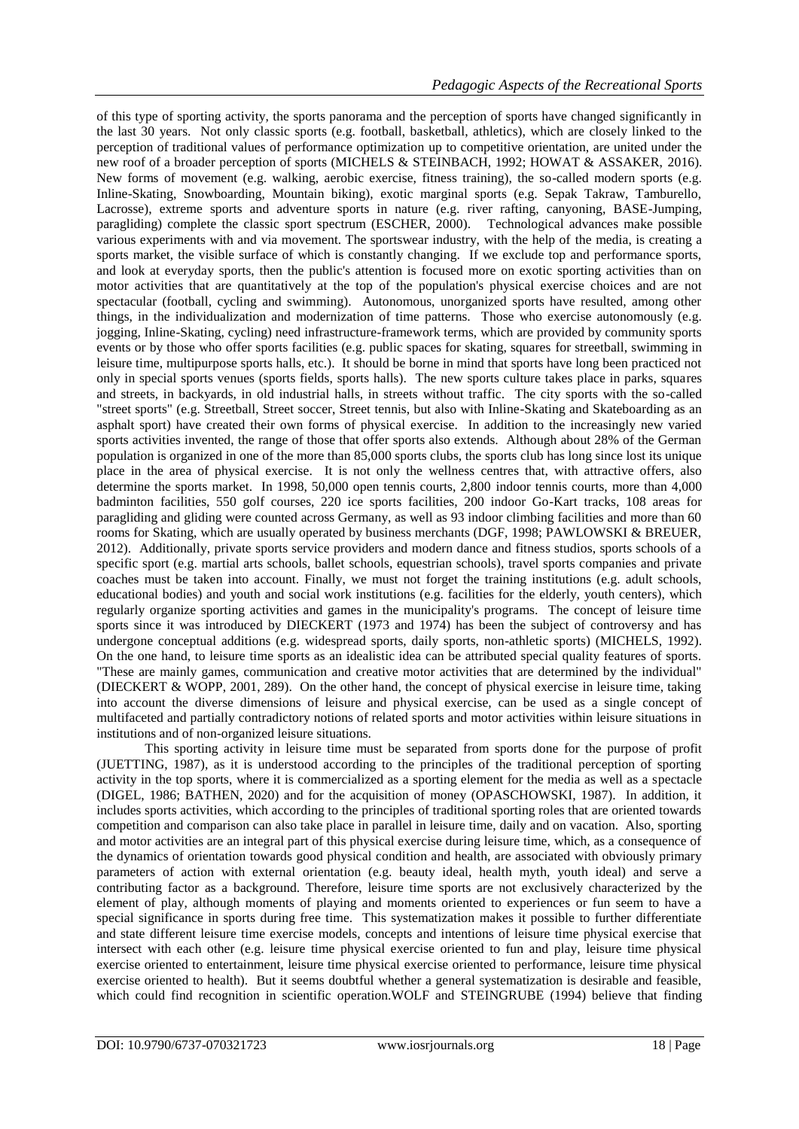of this type of sporting activity, the sports panorama and the perception of sports have changed significantly in the last 30 years. Not only classic sports (e.g. football, basketball, athletics), which are closely linked to the perception of traditional values of performance optimization up to competitive orientation, are united under the new roof of a broader perception of sports (MICHELS & STEINBACH, 1992; HOWAT & ASSAKER, 2016). New forms of movement (e.g. walking, aerobic exercise, fitness training), the so-called modern sports (e.g. Inline-Skating, Snowboarding, Mountain biking), exotic marginal sports (e.g. Sepak Takraw, Tamburello, Lacrosse), extreme sports and adventure sports in nature (e.g. river rafting, canyoning, BASE-Jumping, paragliding) complete the classic sport spectrum (ESCHER, 2000). Technological advances make possible various experiments with and via movement. The sportswear industry, with the help of the media, is creating a sports market, the visible surface of which is constantly changing. If we exclude top and performance sports, and look at everyday sports, then the public's attention is focused more on exotic sporting activities than on motor activities that are quantitatively at the top of the population's physical exercise choices and are not spectacular (football, cycling and swimming). Autonomous, unorganized sports have resulted, among other things, in the individualization and modernization of time patterns. Those who exercise autonomously (e.g. jogging, Inline-Skating, cycling) need infrastructure-framework terms, which are provided by community sports events or by those who offer sports facilities (e.g. public spaces for skating, squares for streetball, swimming in leisure time, multipurpose sports halls, etc.). It should be borne in mind that sports have long been practiced not only in special sports venues (sports fields, sports halls). The new sports culture takes place in parks, squares and streets, in backyards, in old industrial halls, in streets without traffic. The city sports with the so-called "street sports" (e.g. Streetball, Street soccer, Street tennis, but also with Inline-Skating and Skateboarding as an asphalt sport) have created their own forms of physical exercise. In addition to the increasingly new varied sports activities invented, the range of those that offer sports also extends. Although about 28% of the German population is organized in one of the more than 85,000 sports clubs, the sports club has long since lost its unique place in the area of physical exercise. It is not only the wellness centres that, with attractive offers, also determine the sports market. In 1998, 50,000 open tennis courts, 2,800 indoor tennis courts, more than 4,000 badminton facilities, 550 golf courses, 220 ice sports facilities, 200 indoor Go-Kart tracks, 108 areas for paragliding and gliding were counted across Germany, as well as 93 indoor climbing facilities and more than 60 rooms for Skating, which are usually operated by business merchants (DGF, 1998; PAWLOWSKI & BREUER, 2012). Additionally, private sports service providers and modern dance and fitness studios, sports schools of a specific sport (e.g. martial arts schools, ballet schools, equestrian schools), travel sports companies and private coaches must be taken into account. Finally, we must not forget the training institutions (e.g. adult schools, educational bodies) and youth and social work institutions (e.g. facilities for the elderly, youth centers), which regularly organize sporting activities and games in the municipality's programs. The concept of leisure time sports since it was introduced by DIECKERT (1973 and 1974) has been the subject of controversy and has undergone conceptual additions (e.g. widespread sports, daily sports, non-athletic sports) (MICHELS, 1992). On the one hand, to leisure time sports as an idealistic idea can be attributed special quality features of sports. "These are mainly games, communication and creative motor activities that are determined by the individual" (DIECKERT & WOPP, 2001, 289). On the other hand, the concept of physical exercise in leisure time, taking into account the diverse dimensions of leisure and physical exercise, can be used as a single concept of multifaceted and partially contradictory notions of related sports and motor activities within leisure situations in institutions and of non-organized leisure situations.

This sporting activity in leisure time must be separated from sports done for the purpose of profit (JUETTING, 1987), as it is understood according to the principles of the traditional perception of sporting activity in the top sports, where it is commercialized as a sporting element for the media as well as a spectacle (DIGEL, 1986; BATHEN, 2020) and for the acquisition of money (OPASCHOWSKI, 1987). In addition, it includes sports activities, which according to the principles of traditional sporting roles that are oriented towards competition and comparison can also take place in parallel in leisure time, daily and on vacation. Also, sporting and motor activities are an integral part of this physical exercise during leisure time, which, as a consequence of the dynamics of orientation towards good physical condition and health, are associated with obviously primary parameters of action with external orientation (e.g. beauty ideal, health myth, youth ideal) and serve a contributing factor as a background. Therefore, leisure time sports are not exclusively characterized by the element of play, although moments of playing and moments oriented to experiences or fun seem to have a special significance in sports during free time. This systematization makes it possible to further differentiate and state different leisure time exercise models, concepts and intentions of leisure time physical exercise that intersect with each other (e.g. leisure time physical exercise oriented to fun and play, leisure time physical exercise oriented to entertainment, leisure time physical exercise oriented to performance, leisure time physical exercise oriented to health). But it seems doubtful whether a general systematization is desirable and feasible, which could find recognition in scientific operation.WOLF and STEINGRUBE (1994) believe that finding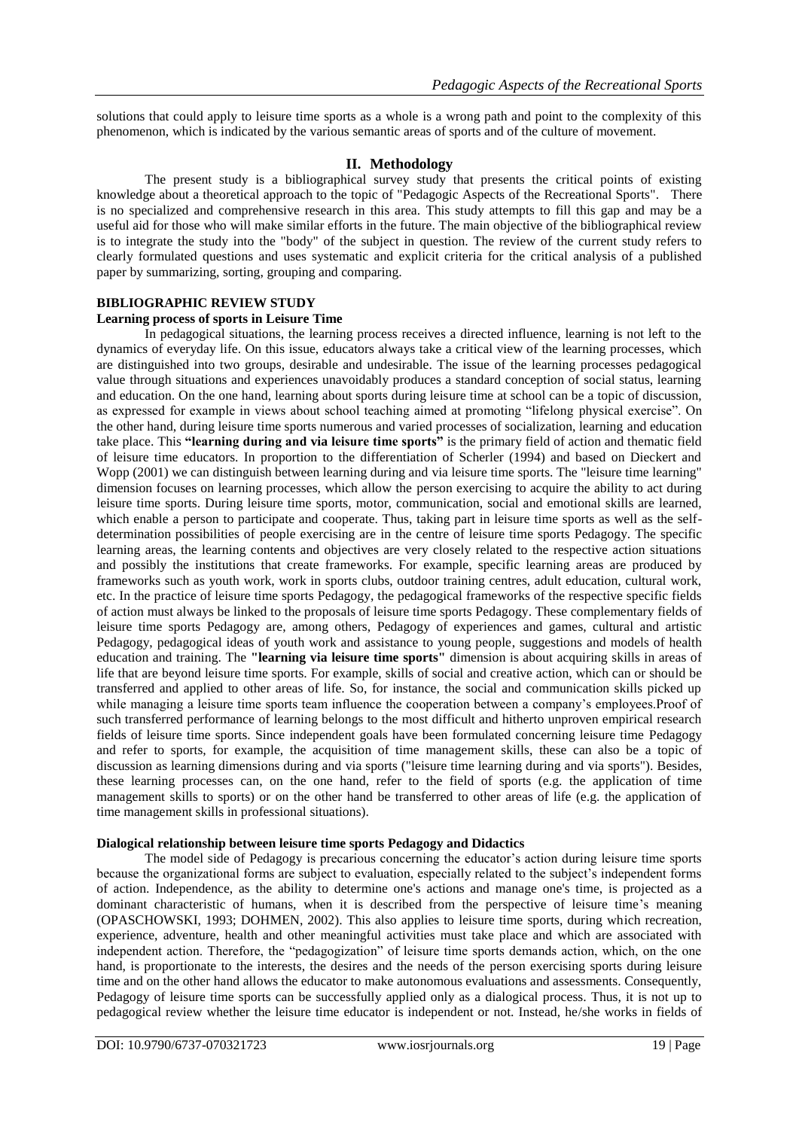solutions that could apply to leisure time sports as a whole is a wrong path and point to the complexity of this phenomenon, which is indicated by the various semantic areas of sports and of the culture of movement.

## **II. Methodology**

The present study is a bibliographical survey study that presents the critical points of existing knowledge about a theoretical approach to the topic of "Pedagogic Aspects of the Recreational Sports". There is no specialized and comprehensive research in this area. This study attempts to fill this gap and may be a useful aid for those who will make similar efforts in the future. The main objective of the bibliographical review is to integrate the study into the "body" of the subject in question. The review of the current study refers to clearly formulated questions and uses systematic and explicit criteria for the critical analysis of a published paper by summarizing, sorting, grouping and comparing.

## **BIBLIOGRAPHIC REVIEW STUDY**

## **Learning process of sports in Leisure Time**

In pedagogical situations, the learning process receives a directed influence, learning is not left to the dynamics of everyday life. On this issue, educators always take a critical view of the learning processes, which are distinguished into two groups, desirable and undesirable. The issue of the learning processes pedagogical value through situations and experiences unavoidably produces a standard conception of social status, learning and education. On the one hand, learning about sports during leisure time at school can be a topic of discussion, as expressed for example in views about school teaching aimed at promoting "lifelong physical exercise". On the other hand, during leisure time sports numerous and varied processes of socialization, learning and education take place. This **"learning during and via leisure time sports"** is the primary field of action and thematic field of leisure time educators. In proportion to the differentiation of Scherler (1994) and based on Dieckert and Wopp (2001) we can distinguish between learning during and via leisure time sports. The "leisure time learning" dimension focuses on learning processes, which allow the person exercising to acquire the ability to act during leisure time sports. During leisure time sports, motor, communication, social and emotional skills are learned, which enable a person to participate and cooperate. Thus, taking part in leisure time sports as well as the selfdetermination possibilities of people exercising are in the centre of leisure time sports Pedagogy. The specific learning areas, the learning contents and objectives are very closely related to the respective action situations and possibly the institutions that create frameworks. For example, specific learning areas are produced by frameworks such as youth work, work in sports clubs, outdoor training centres, adult education, cultural work, etc. In the practice of leisure time sports Pedagogy, the pedagogical frameworks of the respective specific fields of action must always be linked to the proposals of leisure time sports Pedagogy. These complementary fields of leisure time sports Pedagogy are, among others, Pedagogy of experiences and games, cultural and artistic Pedagogy, pedagogical ideas of youth work and assistance to young people, suggestions and models of health education and training. The **"learning via leisure time sports"** dimension is about acquiring skills in areas of life that are beyond leisure time sports. For example, skills of social and creative action, which can or should be transferred and applied to other areas of life. So, for instance, the social and communication skills picked up while managing a leisure time sports team influence the cooperation between a company's employees. Proof of such transferred performance of learning belongs to the most difficult and hitherto unproven empirical research fields of leisure time sports. Since independent goals have been formulated concerning leisure time Pedagogy and refer to sports, for example, the acquisition of time management skills, these can also be a topic of discussion as learning dimensions during and via sports ("leisure time learning during and via sports"). Besides, these learning processes can, on the one hand, refer to the field of sports (e.g. the application of time management skills to sports) or on the other hand be transferred to other areas of life (e.g. the application of time management skills in professional situations).

#### **Dialogical relationship between leisure time sports Pedagogy and Didactics**

The model side of Pedagogy is precarious concerning the educator's action during leisure time sports because the organizational forms are subject to evaluation, especially related to the subject's independent forms of action. Independence, as the ability to determine one's actions and manage one's time, is projected as a dominant characteristic of humans, when it is described from the perspective of leisure time's meaning (OPASCHOWSKI, 1993; DOHMEN, 2002). This also applies to leisure time sports, during which recreation, experience, adventure, health and other meaningful activities must take place and which are associated with independent action. Therefore, the "pedagogization" of leisure time sports demands action, which, on the one hand, is proportionate to the interests, the desires and the needs of the person exercising sports during leisure time and on the other hand allows the educator to make autonomous evaluations and assessments. Consequently, Pedagogy of leisure time sports can be successfully applied only as a dialogical process. Thus, it is not up to pedagogical review whether the leisure time educator is independent or not. Instead, he/she works in fields of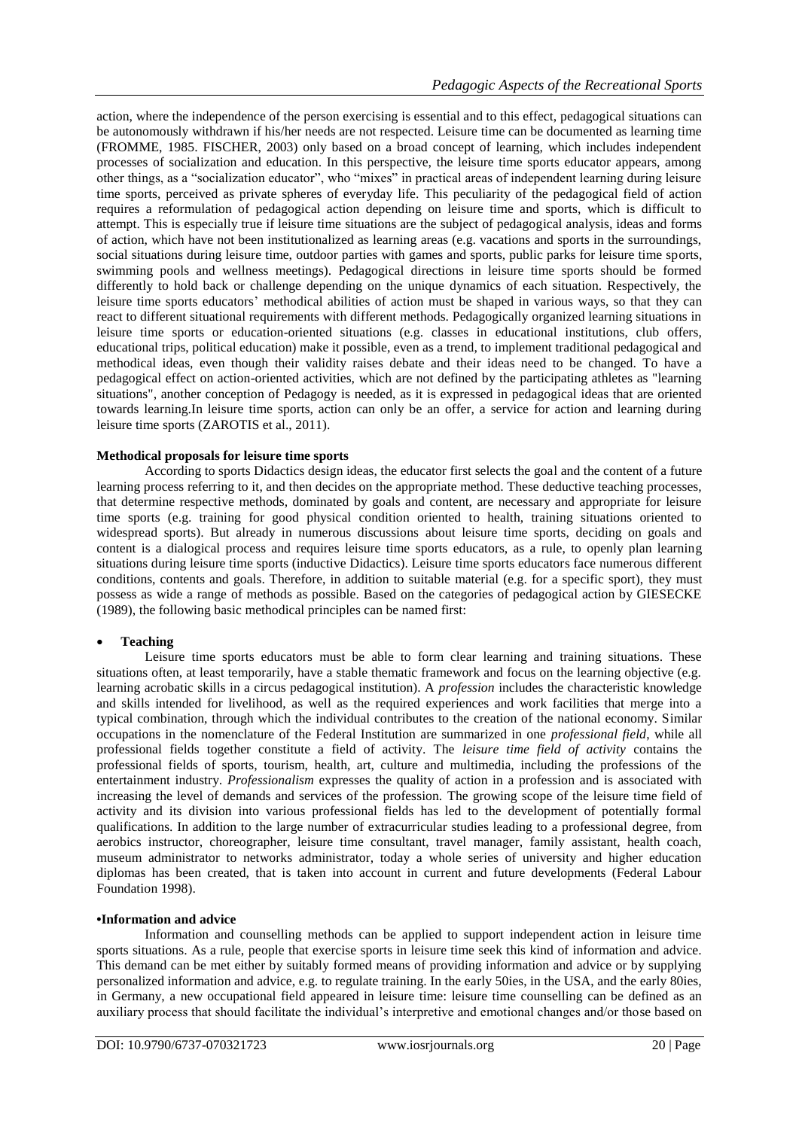action, where the independence of the person exercising is essential and to this effect, pedagogical situations can be autonomously withdrawn if his/her needs are not respected. Leisure time can be documented as learning time (FROMME, 1985. FISCHER, 2003) only based on a broad concept of learning, which includes independent processes of socialization and education. In this perspective, the leisure time sports educator appears, among other things, as a "socialization educator", who "mixes" in practical areas of independent learning during leisure time sports, perceived as private spheres of everyday life. This peculiarity of the pedagogical field of action requires a reformulation of pedagogical action depending on leisure time and sports, which is difficult to attempt. This is especially true if leisure time situations are the subject of pedagogical analysis, ideas and forms of action, which have not been institutionalized as learning areas (e.g. vacations and sports in the surroundings, social situations during leisure time, outdoor parties with games and sports, public parks for leisure time sports, swimming pools and wellness meetings). Pedagogical directions in leisure time sports should be formed differently to hold back or challenge depending on the unique dynamics of each situation. Respectively, the leisure time sports educators' methodical abilities of action must be shaped in various ways, so that they can react to different situational requirements with different methods. Pedagogically organized learning situations in leisure time sports or education-oriented situations (e.g. classes in educational institutions, club offers, educational trips, political education) make it possible, even as a trend, to implement traditional pedagogical and methodical ideas, even though their validity raises debate and their ideas need to be changed. To have a pedagogical effect on action-oriented activities, which are not defined by the participating athletes as "learning situations", another conception of Pedagogy is needed, as it is expressed in pedagogical ideas that are oriented towards learning.In leisure time sports, action can only be an offer, a service for action and learning during leisure time sports (ZAROTIS et al., 2011).

#### **Methodical proposals for leisure time sports**

According to sports Didactics design ideas, the educator first selects the goal and the content of a future learning process referring to it, and then decides on the appropriate method. These deductive teaching processes, that determine respective methods, dominated by goals and content, are necessary and appropriate for leisure time sports (e.g. training for good physical condition oriented to health, training situations oriented to widespread sports). But already in numerous discussions about leisure time sports, deciding on goals and content is a dialogical process and requires leisure time sports educators, as a rule, to openly plan learning situations during leisure time sports (inductive Didactics). Leisure time sports educators face numerous different conditions, contents and goals. Therefore, in addition to suitable material (e.g. for a specific sport), they must possess as wide a range of methods as possible. Based on the categories of pedagogical action by GIESECKE (1989), the following basic methodical principles can be named first:

## **Teaching**

Leisure time sports educators must be able to form clear learning and training situations. These situations often, at least temporarily, have a stable thematic framework and focus on the learning objective (e.g. learning acrobatic skills in a circus pedagogical institution). A *profession* includes the characteristic knowledge and skills intended for livelihood, as well as the required experiences and work facilities that merge into a typical combination, through which the individual contributes to the creation of the national economy. Similar occupations in the nomenclature of the Federal Institution are summarized in one *professional field*, while all professional fields together constitute a field of activity. The *leisure time field of activity* contains the professional fields of sports, tourism, health, art, culture and multimedia, including the professions of the entertainment industry. *Professionalism* expresses the quality of action in a profession and is associated with increasing the level of demands and services of the profession. The growing scope of the leisure time field of activity and its division into various professional fields has led to the development of potentially formal qualifications. In addition to the large number of extracurricular studies leading to a professional degree, from aerobics instructor, choreographer, leisure time consultant, travel manager, family assistant, health coach, museum administrator to networks administrator, today a whole series of university and higher education diplomas has been created, that is taken into account in current and future developments (Federal Labour Foundation 1998).

#### **•Information and advice**

Information and counselling methods can be applied to support independent action in leisure time sports situations. As a rule, people that exercise sports in leisure time seek this kind of information and advice. This demand can be met either by suitably formed means of providing information and advice or by supplying personalized information and advice, e.g. to regulate training. In the early 50ies, in the USA, and the early 80ies, in Germany, a new occupational field appeared in leisure time: leisure time counselling can be defined as an auxiliary process that should facilitate the individual's interpretive and emotional changes and/or those based on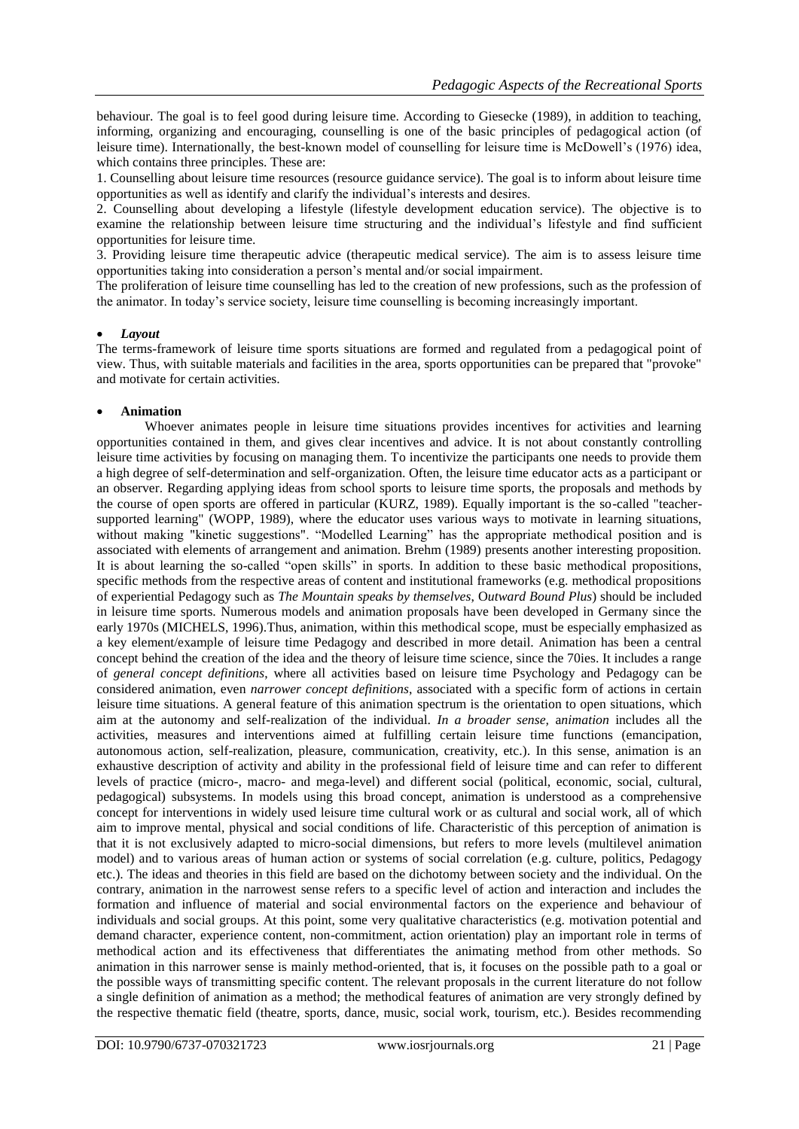behaviour. The goal is to feel good during leisure time. According to Giesecke (1989), in addition to teaching, informing, organizing and encouraging, counselling is one of the basic principles of pedagogical action (of leisure time). Internationally, the best-known model of counselling for leisure time is McDowell's (1976) idea, which contains three principles. These are:

1. Counselling about leisure time resources (resource guidance service). The goal is to inform about leisure time opportunities as well as identify and clarify the individual's interests and desires.

2. Counselling about developing a lifestyle (lifestyle development education service). The objective is to examine the relationship between leisure time structuring and the individual's lifestyle and find sufficient opportunities for leisure time.

3. Providing leisure time therapeutic advice (therapeutic medical service). The aim is to assess leisure time opportunities taking into consideration a person's mental and/or social impairment.

The proliferation of leisure time counselling has led to the creation of new professions, such as the profession of the animator. In today's service society, leisure time counselling is becoming increasingly important.

#### *Layout*

The terms-framework of leisure time sports situations are formed and regulated from a pedagogical point of view. Thus, with suitable materials and facilities in the area, sports opportunities can be prepared that "provoke" and motivate for certain activities.

## **Animation**

Whoever animates people in leisure time situations provides incentives for activities and learning opportunities contained in them, and gives clear incentives and advice. It is not about constantly controlling leisure time activities by focusing on managing them. To incentivize the participants one needs to provide them a high degree of self-determination and self-organization. Often, the leisure time educator acts as a participant or an observer. Regarding applying ideas from school sports to leisure time sports, the proposals and methods by the course of open sports are offered in particular (KURZ, 1989). Equally important is the so-called "teachersupported learning" (WOPP, 1989), where the educator uses various ways to motivate in learning situations, without making "kinetic suggestions". "Modelled Learning" has the appropriate methodical position and is associated with elements of arrangement and animation. Brehm (1989) presents another interesting proposition. It is about learning the so-called "open skills" in sports. In addition to these basic methodical propositions, specific methods from the respective areas of content and institutional frameworks (e.g. methodical propositions of experiential Pedagogy such as *The Mountain speaks by themselves*, O*utward Bound Plus*) should be included in leisure time sports. Numerous models and animation proposals have been developed in Germany since the early 1970s (MICHELS, 1996).Thus, animation, within this methodical scope, must be especially emphasized as a key element/example of leisure time Pedagogy and described in more detail. Animation has been a central concept behind the creation of the idea and the theory of leisure time science, since the 70ies. It includes a range of *general concept definitions*, where all activities based on leisure time Psychology and Pedagogy can be considered animation, even *narrower concept definitions*, associated with a specific form of actions in certain leisure time situations. A general feature of this animation spectrum is the orientation to open situations, which aim at the autonomy and self-realization of the individual. *In a broader sense,* a*nimation* includes all the activities, measures and interventions aimed at fulfilling certain leisure time functions (emancipation, autonomous action, self-realization, pleasure, communication, creativity, etc.). In this sense, animation is an exhaustive description of activity and ability in the professional field of leisure time and can refer to different levels of practice (micro-, macro- and mega-level) and different social (political, economic, social, cultural, pedagogical) subsystems. In models using this broad concept, animation is understood as a comprehensive concept for interventions in widely used leisure time cultural work or as cultural and social work, all of which aim to improve mental, physical and social conditions of life. Characteristic of this perception of animation is that it is not exclusively adapted to micro-social dimensions, but refers to more levels (multilevel animation model) and to various areas of human action or systems of social correlation (e.g. culture, politics, Pedagogy etc.). The ideas and theories in this field are based on the dichotomy between society and the individual. On the contrary, animation in the narrowest sense refers to a specific level of action and interaction and includes the formation and influence of material and social environmental factors on the experience and behaviour of individuals and social groups. At this point, some very qualitative characteristics (e.g. motivation potential and demand character, experience content, non-commitment, action orientation) play an important role in terms of methodical action and its effectiveness that differentiates the animating method from other methods. So animation in this narrower sense is mainly method-oriented, that is, it focuses on the possible path to a goal or the possible ways of transmitting specific content. The relevant proposals in the current literature do not follow a single definition of animation as a method; the methodical features of animation are very strongly defined by the respective thematic field (theatre, sports, dance, music, social work, tourism, etc.). Besides recommending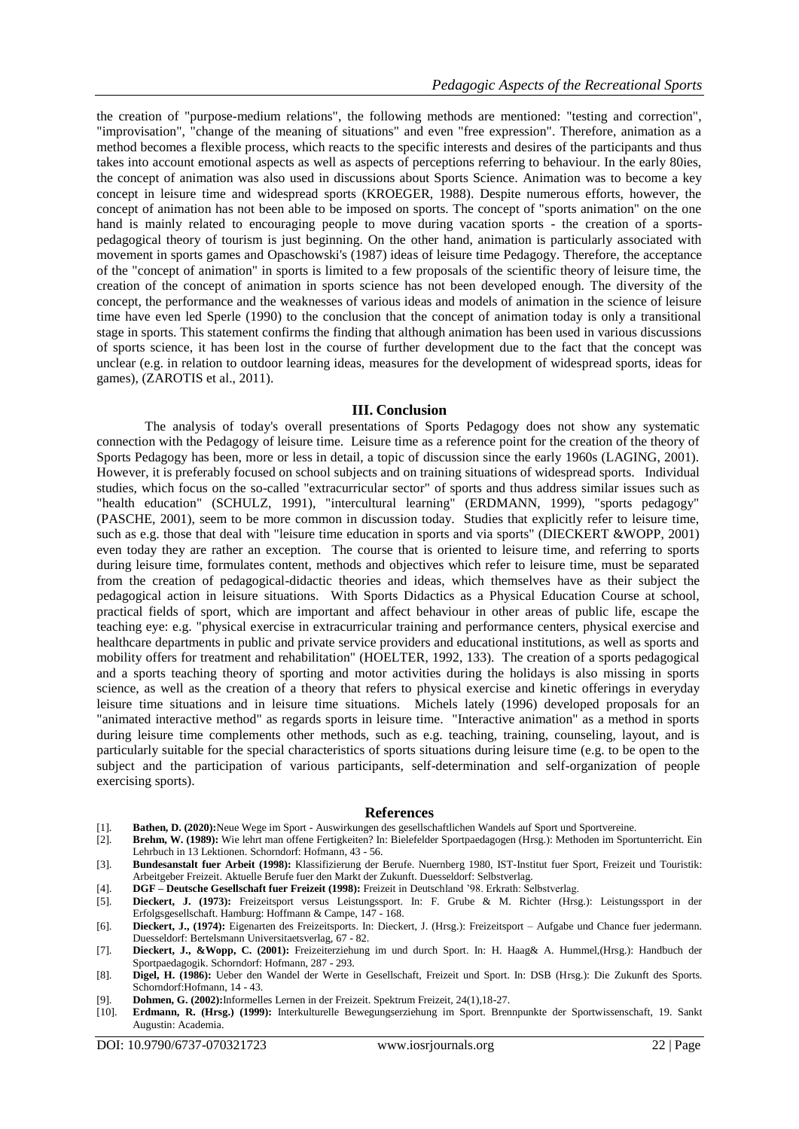the creation of "purpose-medium relations", the following methods are mentioned: "testing and correction", "improvisation", "change of the meaning of situations" and even "free expression". Therefore, animation as a method becomes a flexible process, which reacts to the specific interests and desires of the participants and thus takes into account emotional aspects as well as aspects of perceptions referring to behaviour. In the early 80ies, the concept of animation was also used in discussions about Sports Science. Animation was to become a key concept in leisure time and widespread sports (KROEGER, 1988). Despite numerous efforts, however, the concept of animation has not been able to be imposed on sports. The concept of "sports animation" on the one hand is mainly related to encouraging people to move during vacation sports - the creation of a sportspedagogical theory of tourism is just beginning. On the other hand, animation is particularly associated with movement in sports games and Opaschowski's (1987) ideas of leisure time Pedagogy. Therefore, the acceptance of the "concept of animation" in sports is limited to a few proposals of the scientific theory of leisure time, the creation of the concept of animation in sports science has not been developed enough. The diversity of the concept, the performance and the weaknesses of various ideas and models of animation in the science of leisure time have even led Sperle (1990) to the conclusion that the concept of animation today is only a transitional stage in sports. This statement confirms the finding that although animation has been used in various discussions of sports science, it has been lost in the course of further development due to the fact that the concept was unclear (e.g. in relation to outdoor learning ideas, measures for the development of widespread sports, ideas for games), (ZAROTIS et al., 2011).

## **III. Conclusion**

The analysis of today's overall presentations of Sports Pedagogy does not show any systematic connection with the Pedagogy of leisure time. Leisure time as a reference point for the creation of the theory of Sports Pedagogy has been, more or less in detail, a topic of discussion since the early 1960s (LAGING, 2001). However, it is preferably focused on school subjects and on training situations of widespread sports. Individual studies, which focus on the so-called "extracurricular sector" of sports and thus address similar issues such as "health education" (SCHULZ, 1991), "intercultural learning" (ERDMANN, 1999), "sports pedagogy" (PASCHE, 2001), seem to be more common in discussion today. Studies that explicitly refer to leisure time, such as e.g. those that deal with "leisure time education in sports and via sports" (DIECKERT &WOPP, 2001) even today they are rather an exception. The course that is oriented to leisure time, and referring to sports during leisure time, formulates content, methods and objectives which refer to leisure time, must be separated from the creation of pedagogical-didactic theories and ideas, which themselves have as their subject the pedagogical action in leisure situations. With Sports Didactics as a Physical Education Course at school, practical fields of sport, which are important and affect behaviour in other areas of public life, escape the teaching eye: e.g. "physical exercise in extracurricular training and performance centers, physical exercise and healthcare departments in public and private service providers and educational institutions, as well as sports and mobility offers for treatment and rehabilitation" (HOELTER, 1992, 133). The creation of a sports pedagogical and a sports teaching theory of sporting and motor activities during the holidays is also missing in sports science, as well as the creation of a theory that refers to physical exercise and kinetic offerings in everyday leisure time situations and in leisure time situations. Michels lately (1996) developed proposals for an "animated interactive method" as regards sports in leisure time. "Interactive animation" as a method in sports during leisure time complements other methods, such as e.g. teaching, training, counseling, layout, and is particularly suitable for the special characteristics of sports situations during leisure time (e.g. to be open to the subject and the participation of various participants, self-determination and self-organization of people exercising sports).

#### **References**

- [1]. **Bathen, D. (2020):**Neue Wege im Sport Auswirkungen des gesellschaftlichen Wandels auf Sport und Sportvereine.
- [2]. **Brehm, W. (1989):** Wie lehrt man offene Fertigkeiten? In: Bielefelder Sportpaedagogen (Hrsg.): Methoden im Sportunterricht. Ein Lehrbuch in 13 Lektionen. Schorndorf: Hofmann, 43 - 56.
- [3]. **Bundesanstalt fuer Arbeit (1998):** Klassifizierung der Berufe. Nuernberg 1980, IST-Institut fuer Sport, Freizeit und Touristik: Arbeitgeber Freizeit. Aktuelle Berufe fuer den Markt der Zukunft. Duesseldorf: Selbstverlag.
- [4]. **DGF – Deutsche Gesellschaft fuer Freizeit (1998):** Freizeit in Deutschland '98. Erkrath: Selbstverlag.
- [5]. **Dieckert, J. (1973):** Freizeitsport versus Leistungssport. In: F. Grube & M. Richter (Hrsg.): Leistungssport in der Erfolgsgesellschaft. Hamburg: Hoffmann & Campe, 147 - 168.
- [6]. **Dieckert, J., (1974):** Eigenarten des Freizeitsports. In: Dieckert, J. (Hrsg.): Freizeitsport Aufgabe und Chance fuer jedermann. Duesseldorf: Bertelsmann Universitaetsverlag, 67 - 82.
- [7]. **Dieckert, J., &Wopp, C. (2001):** Freizeiterziehung im und durch Sport. In: H. Haag& A. Hummel,(Hrsg.): Handbuch der Sportpaedagogik. Schorndorf: Hofmann, 287 - 293.
- [8]. **Digel, H. (1986):** Ueber den Wandel der Werte in Gesellschaft, Freizeit und Sport. In: DSB (Hrsg.): Die Zukunft des Sports. Schorndorf:Hofmann, 14 - 43.
- [9]. **Dohmen, G. (2002):**Informelles Lernen in der Freizeit. Spektrum Freizeit, 24(1),18-27.
- [10]. **Erdmann, R. (Hrsg.) (1999):** Interkulturelle Bewegungserziehung im Sport. Brennpunkte der Sportwissenschaft, 19. Sankt Augustin: Academia.